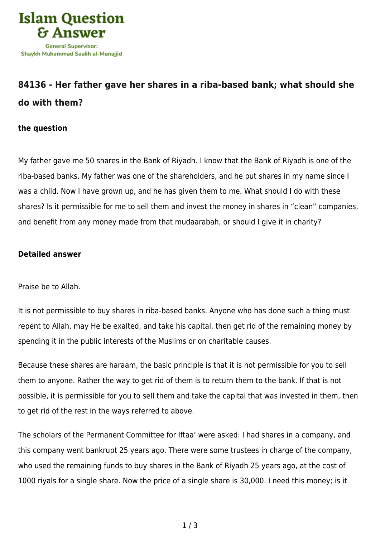

## **[84136 - Her father gave her shares in a riba-based bank; what should she](https://islamqa.com/en/answers/84136/her-father-gave-her-shares-in-a-riba-based-bank-what-should-she-do-with-them) [do with them?](https://islamqa.com/en/answers/84136/her-father-gave-her-shares-in-a-riba-based-bank-what-should-she-do-with-them)**

## **the question**

My father gave me 50 shares in the Bank of Riyadh. I know that the Bank of Riyadh is one of the riba-based banks. My father was one of the shareholders, and he put shares in my name since I was a child. Now I have grown up, and he has given them to me. What should I do with these shares? Is it permissible for me to sell them and invest the money in shares in "clean" companies, and benefit from any money made from that mudaarabah, or should I give it in charity?

## **Detailed answer**

Praise be to Allah.

It is not permissible to buy shares in riba-based banks. Anyone who has done such a thing must repent to Allah, may He be exalted, and take his capital, then get rid of the remaining money by spending it in the public interests of the Muslims or on charitable causes.

Because these shares are haraam, the basic principle is that it is not permissible for you to sell them to anyone. Rather the way to get rid of them is to return them to the bank. If that is not possible, it is permissible for you to sell them and take the capital that was invested in them, then to get rid of the rest in the ways referred to above.

The scholars of the Permanent Committee for Iftaa' were asked: I had shares in a company, and this company went bankrupt 25 years ago. There were some trustees in charge of the company, who used the remaining funds to buy shares in the Bank of Riyadh 25 years ago, at the cost of 1000 riyals for a single share. Now the price of a single share is 30,000. I need this money; is it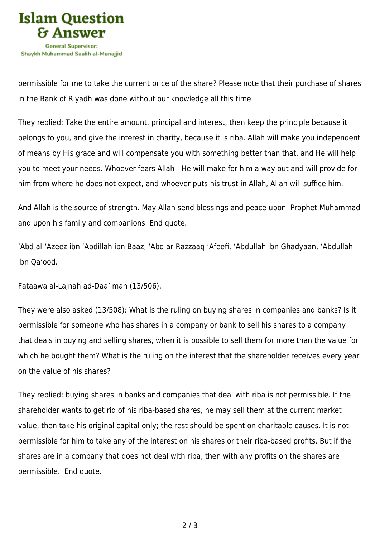

permissible for me to take the current price of the share? Please note that their purchase of shares in the Bank of Riyadh was done without our knowledge all this time.

They replied: Take the entire amount, principal and interest, then keep the principle because it belongs to you, and give the interest in charity, because it is riba. Allah will make you independent of means by His grace and will compensate you with something better than that, and He will help you to meet your needs. Whoever fears Allah - He will make for him a way out and will provide for him from where he does not expect, and whoever puts his trust in Allah, Allah will suffice him.

And Allah is the source of strength. May Allah send blessings and peace upon Prophet Muhammad and upon his family and companions. End quote.

'Abd al-'Azeez ibn 'Abdillah ibn Baaz, 'Abd ar-Razzaaq 'Afeefi, 'Abdullah ibn Ghadyaan, 'Abdullah ibn Qa'ood.

Fataawa al-Lajnah ad-Daa'imah (13/506).

They were also asked (13/508): What is the ruling on buying shares in companies and banks? Is it permissible for someone who has shares in a company or bank to sell his shares to a company that deals in buying and selling shares, when it is possible to sell them for more than the value for which he bought them? What is the ruling on the interest that the shareholder receives every year on the value of his shares?

They replied: buying shares in banks and companies that deal with riba is not permissible. If the shareholder wants to get rid of his riba-based shares, he may sell them at the current market value, then take his original capital only; the rest should be spent on charitable causes. It is not permissible for him to take any of the interest on his shares or their riba-based profits. But if the shares are in a company that does not deal with riba, then with any profits on the shares are permissible. End quote.